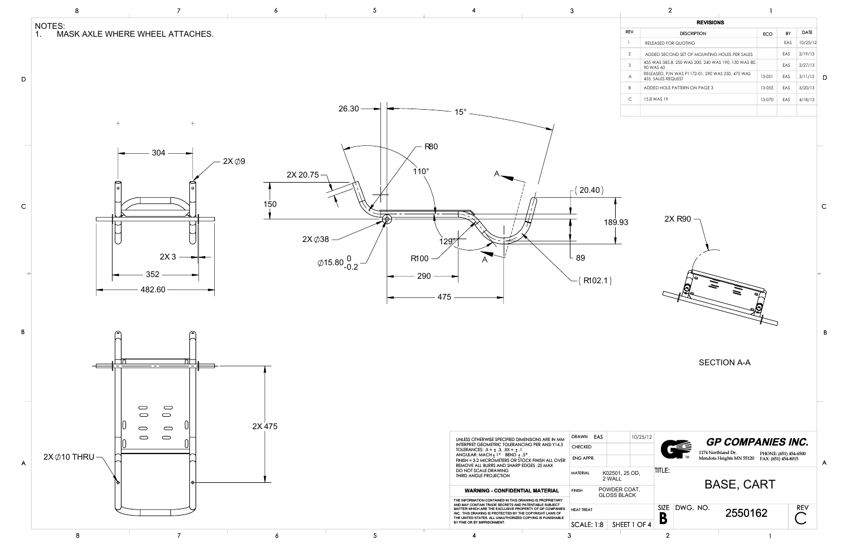

| ۰.     |
|--------|
|        |
| I<br>٦ |
|        |
|        |

| <b>REVISIONS</b> |                                                                        |        |            |          |  |  |  |  |  |
|------------------|------------------------------------------------------------------------|--------|------------|----------|--|--|--|--|--|
| <b>RFV</b>       | <b>DESCRIPTION</b>                                                     | ECO    | BY         | DATE     |  |  |  |  |  |
|                  | RELEASED FOR QUOTING                                                   |        | EAS        | 10/25/12 |  |  |  |  |  |
| $\overline{2}$   | ADDED SECOND SET OF MOUNTING HOLES PER SALES                           |        | EAS        | 2/19/13  |  |  |  |  |  |
| 3                | 435 WAS 385.8, 250 WAS 200, 240 WAS 190, 130 WAS 80,<br>90 WAS 60      |        | <b>FAS</b> | 2/27/13  |  |  |  |  |  |
| A                | RELEASED, P/N WAS P1172-01, 290 WAS 250, 475 WAS<br>435, SALES REQUEST | 13-051 | <b>FAS</b> | 3/11/13  |  |  |  |  |  |
| B                | ADDED HOLE PATTERN ON PAGE 3                                           | 13-055 | EAS        | 3/20/13  |  |  |  |  |  |
| C                | 15.8 WAS 19                                                            | 13-070 | EAS        | 4/18/13  |  |  |  |  |  |
|                  |                                                                        |        |            |          |  |  |  |  |  |

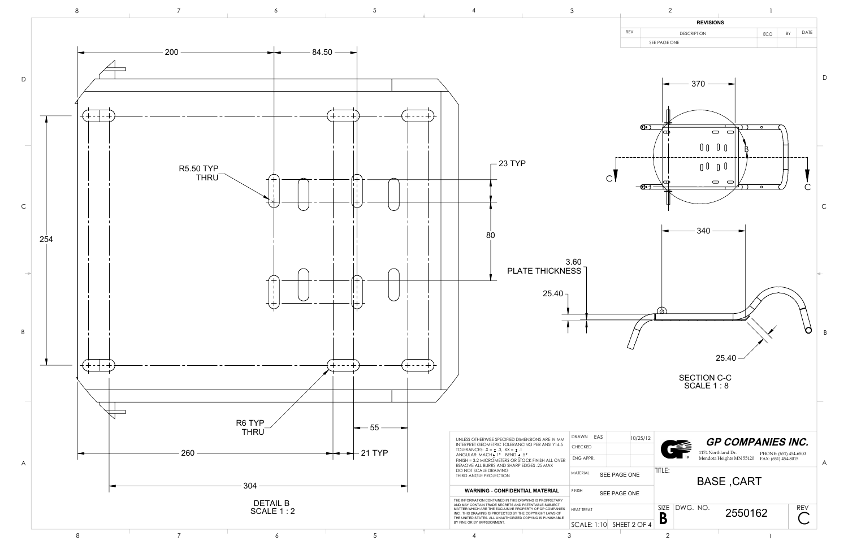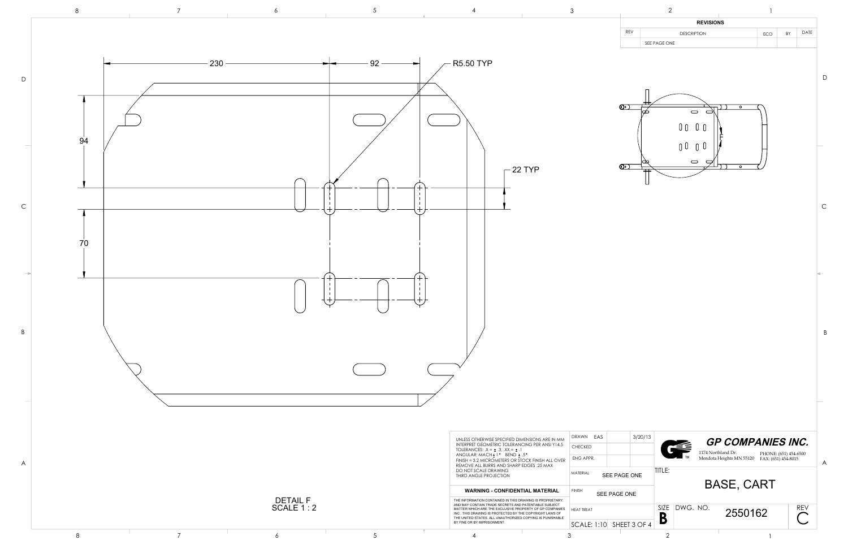

| 3                                                                                 |                         | $\sqrt{2}$                |                                        |                                  |                                               | 1                                                                        |    |            |                            |
|-----------------------------------------------------------------------------------|-------------------------|---------------------------|----------------------------------------|----------------------------------|-----------------------------------------------|--------------------------------------------------------------------------|----|------------|----------------------------|
|                                                                                   |                         |                           |                                        | <b>REVISIONS</b>                 |                                               |                                                                          |    |            |                            |
|                                                                                   | REV                     |                           | <b>DESCRIPTION</b>                     |                                  |                                               | ECO                                                                      | BY | DATE       |                            |
|                                                                                   | $\bigcirc$<br>$\bullet$ | SEE PAGE ONE<br>∞<br>▭    | $\bigcirc$<br>$0\;0$<br>0 <sup>0</sup> | 0 <sub>0</sub><br>0 <sup>0</sup> | $\overline{\circ}$<br>$\overline{\circ}$      |                                                                          |    |            | $\mathsf D$<br>$\mathsf C$ |
|                                                                                   |                         |                           |                                        |                                  |                                               |                                                                          |    | s.         | B                          |
| EAS<br>DRAWN<br>CHECKED<br>ENG APPR.<br>MATERIAL<br><b>FINISH</b><br>SEE PAGE ONE | SEE PAGE ONE            | 3/20/13<br>TITLE:<br>SIZE | DWG. NO.                               | 1174 Northland Dr.               | Mendota Heights MN 55120<br><b>BASE, CART</b> | <b>GP COMPANIES INC.</b><br>PHONE: (651) 454-6500<br>FAX: (651) 454-8015 |    | <b>REV</b> | A                          |
| HEAT TREAT<br>SCALE: 1:10                                                         | SHEET 3 OF 4            | B                         |                                        |                                  | 2550162                                       |                                                                          |    |            |                            |
|                                                                                   |                         | $\overline{2}$            |                                        |                                  |                                               |                                                                          |    |            |                            |